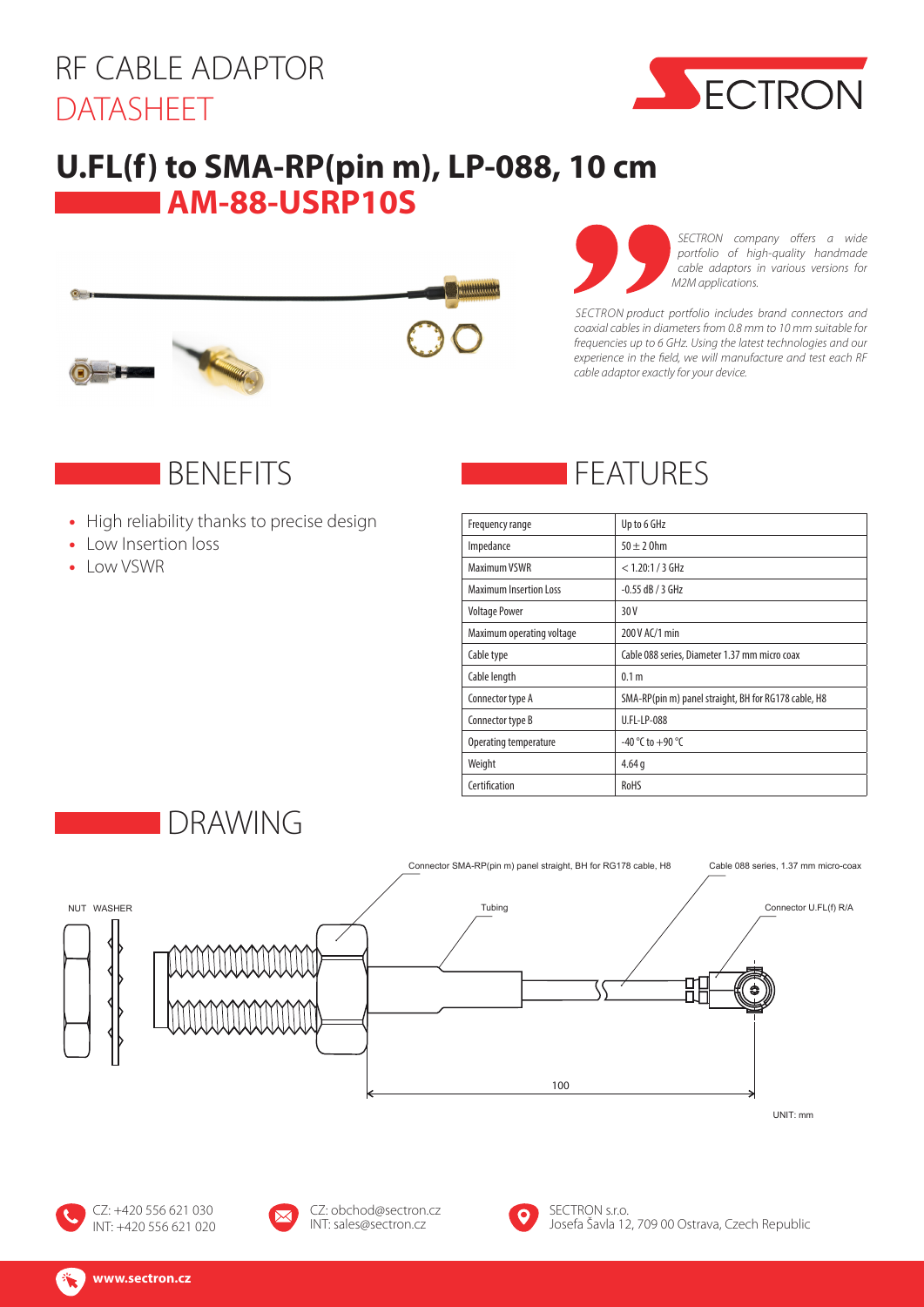# RF CABLE ADAPTOR DATASHEET



#### **U.FL(f) to SMA-RP(pin m), LP-088, 10 cm AM-88-USRP10S**





*SECTRON company offers a wide portfolio of high-quality handmade cable adaptors in various versions for M2M applications.*

*SECTRON product portfolio includes brand connectors and coaxial cables in diameters from 0.8 mm to 10 mm suitable for frequencies up to 6 GHz. Using the latest technologies and our experience in the field, we will manufacture and test each RF cable adaptor exactly for your device.*

#### **BENEFITS**

- **•** High reliability thanks to precise design
- **•** Low Insertion loss
- **•** Low VSWR

# FEATURES

| Frequency range               | Up to 6 GHz                                          |
|-------------------------------|------------------------------------------------------|
| Impedance                     | $50 \pm 20$ hm                                       |
| Maximum VSWR                  | $< 1.20:1 / 3$ GHz                                   |
| <b>Maximum Insertion Loss</b> | $-0.55$ dB / 3 GHz                                   |
| <b>Voltage Power</b>          | 30 V                                                 |
| Maximum operating voltage     | 200 V AC/1 min                                       |
| Cable type                    | Cable 088 series, Diameter 1.37 mm micro coax        |
| Cable length                  | 0.1 <sub>m</sub>                                     |
| Connector type A              | SMA-RP(pin m) panel straight, BH for RG178 cable, H8 |
| Connector type B              | U.FL-LP-088                                          |
| Operating temperature         | -40 °C to +90 °C                                     |
| Weight                        | 4.64q                                                |
| Certification                 | <b>RoHS</b>                                          |









CZ: obchod@sectron.cz INT: sales@sectron.cz



SECTRON s.r.o. Josefa Šavla 12, 709 00 Ostrava, Czech Republic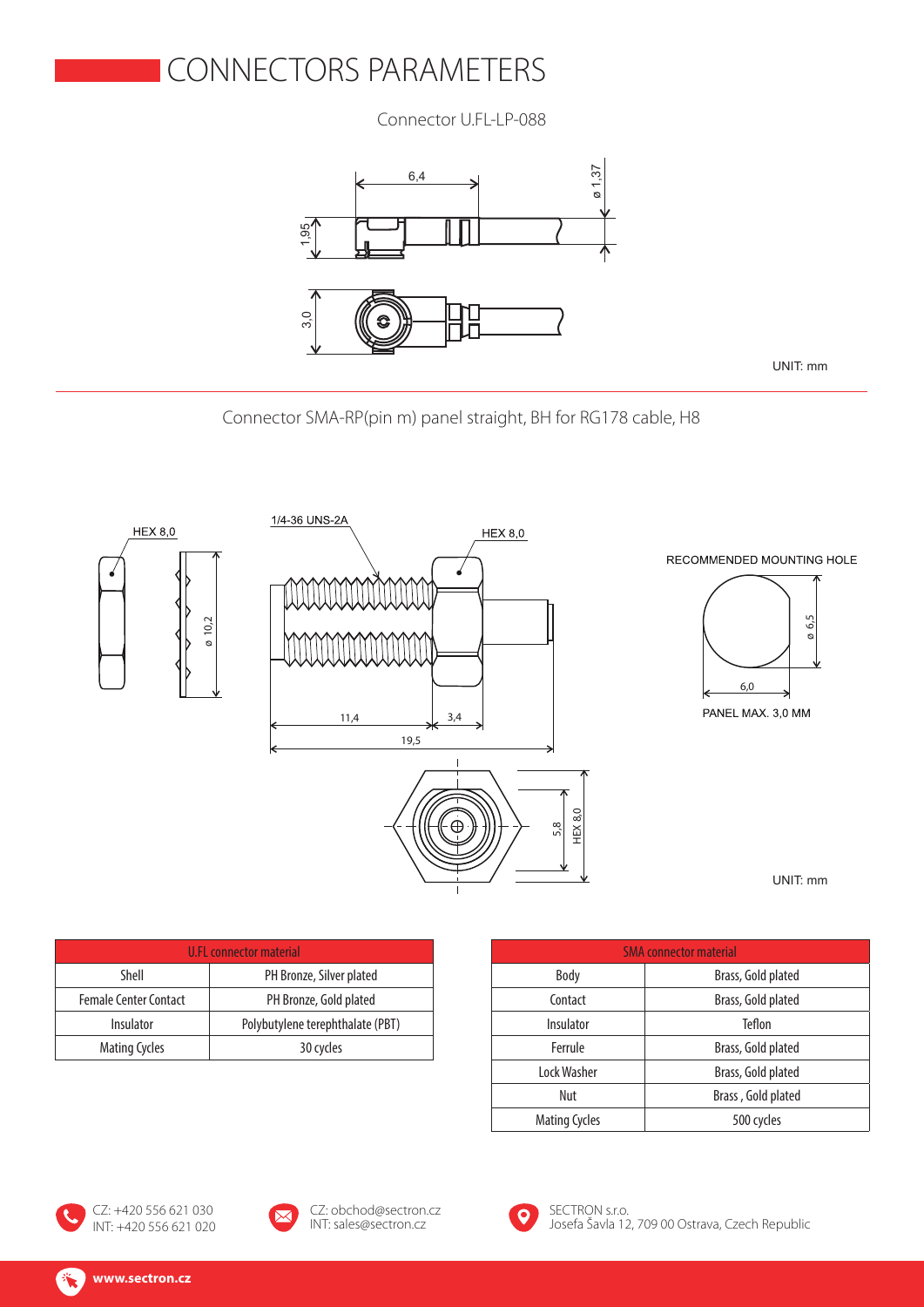### CONNECTORS PARAMETERS

Connector U.FL-LP-088



UNIT: mm

Connector SMA-RP(pin m) panel straight, BH for RG178 cable, H8



UNIT: mm

| U.FL connector material      |                                  |  |
|------------------------------|----------------------------------|--|
| Shell                        | PH Bronze, Silver plated         |  |
| <b>Female Center Contact</b> | PH Bronze, Gold plated           |  |
| Insulator                    | Polybutylene terephthalate (PBT) |  |
| <b>Mating Cycles</b>         | 30 cycles                        |  |

| <b>SMA</b> connector material |                    |
|-------------------------------|--------------------|
| Body                          | Brass, Gold plated |
| Contact                       | Brass, Gold plated |
| Insulator                     | Teflon             |
| Ferrule                       | Brass, Gold plated |
| Lock Washer                   | Brass, Gold plated |
| Nut                           | Brass, Gold plated |
| <b>Mating Cycles</b>          | 500 cycles         |